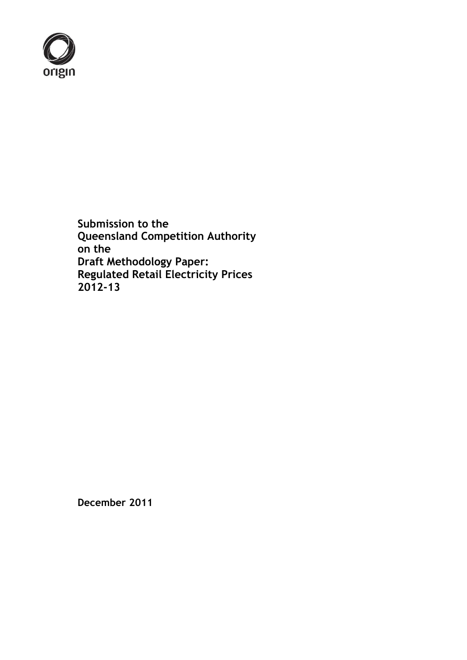

**Submission to the Queensland Competition Authority on the Draft Methodology Paper: Regulated Retail Electricity Prices 2012-13**

**December 2011**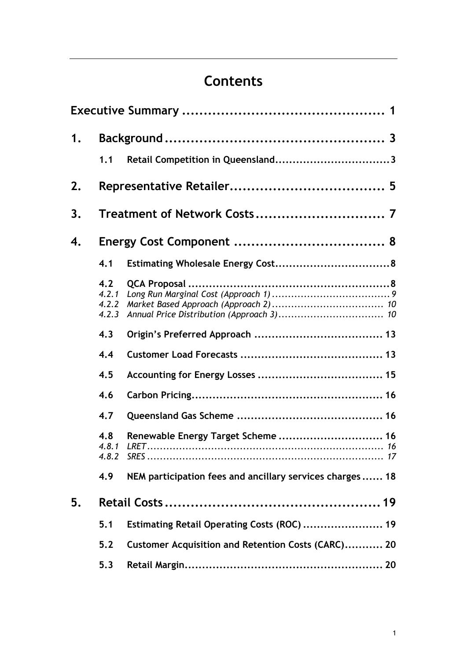# **Contents**

| 1. |                                |                                                          |  |  |
|----|--------------------------------|----------------------------------------------------------|--|--|
|    | 1.1                            |                                                          |  |  |
| 2. |                                |                                                          |  |  |
| 3. |                                |                                                          |  |  |
| 4. |                                |                                                          |  |  |
|    | 4.1                            |                                                          |  |  |
|    | 4.2<br>4.2.1<br>4.2.2<br>4.2.3 |                                                          |  |  |
|    | 4.3                            |                                                          |  |  |
|    | 4.4                            |                                                          |  |  |
|    | 4.5                            |                                                          |  |  |
|    | 4.6                            |                                                          |  |  |
|    | 4.7                            |                                                          |  |  |
|    | 4.8<br>4.8.1                   | Renewable Energy Target Scheme  16                       |  |  |
|    | 4.9                            | NEM participation fees and ancillary services charges 18 |  |  |
| 5. |                                |                                                          |  |  |
|    | 5.1                            | Estimating Retail Operating Costs (ROC)  19              |  |  |
|    | 5.2                            | Customer Acquisition and Retention Costs (CARC) 20       |  |  |
|    | 5.3                            |                                                          |  |  |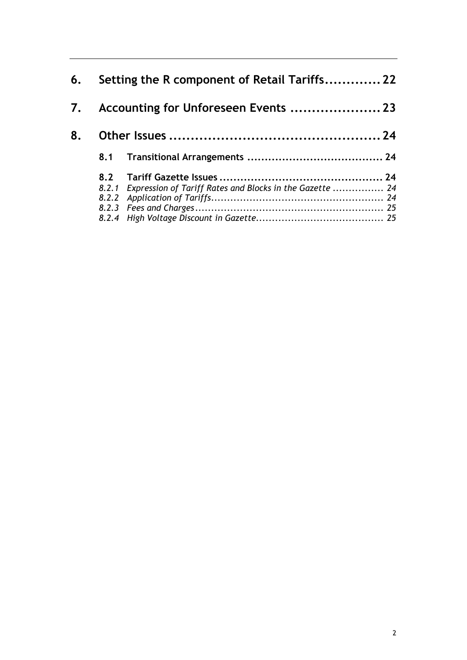| 6. | Setting the R component of Retail Tariffs 22 |                                                                |  |  |  |
|----|----------------------------------------------|----------------------------------------------------------------|--|--|--|
|    |                                              |                                                                |  |  |  |
| 8. |                                              |                                                                |  |  |  |
|    |                                              |                                                                |  |  |  |
|    |                                              |                                                                |  |  |  |
|    |                                              | 8.2.1 Expression of Tariff Rates and Blocks in the Gazette  24 |  |  |  |
|    |                                              |                                                                |  |  |  |
|    |                                              |                                                                |  |  |  |
|    |                                              |                                                                |  |  |  |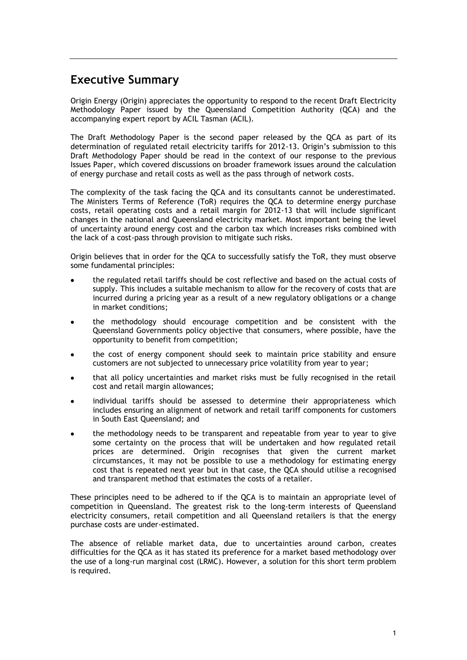## <span id="page-3-0"></span>**Executive Summary**

Origin Energy (Origin) appreciates the opportunity to respond to the recent Draft Electricity Methodology Paper issued by the Queensland Competition Authority (QCA) and the accompanying expert report by ACIL Tasman (ACIL).

The Draft Methodology Paper is the second paper released by the QCA as part of its determination of regulated retail electricity tariffs for 2012-13. Origin's submission to this Draft Methodology Paper should be read in the context of our response to the previous Issues Paper, which covered discussions on broader framework issues around the calculation of energy purchase and retail costs as well as the pass through of network costs.

The complexity of the task facing the QCA and its consultants cannot be underestimated. The Ministers Terms of Reference (ToR) requires the QCA to determine energy purchase costs, retail operating costs and a retail margin for 2012-13 that will include significant changes in the national and Queensland electricity market. Most important being the level of uncertainty around energy cost and the carbon tax which increases risks combined with the lack of a cost-pass through provision to mitigate such risks.

Origin believes that in order for the QCA to successfully satisfy the ToR, they must observe some fundamental principles:

- the regulated retail tariffs should be cost reflective and based on the actual costs of supply. This includes a suitable mechanism to allow for the recovery of costs that are incurred during a pricing year as a result of a new regulatory obligations or a change in market conditions;
- the methodology should encourage competition and be consistent with the  $\bullet$ Queensland Governments policy objective that consumers, where possible, have the opportunity to benefit from competition;
- the cost of energy component should seek to maintain price stability and ensure customers are not subjected to unnecessary price volatility from year to year;
- that all policy uncertainties and market risks must be fully recognised in the retail cost and retail margin allowances;
- individual tariffs should be assessed to determine their appropriateness which includes ensuring an alignment of network and retail tariff components for customers in South East Queensland; and
- the methodology needs to be transparent and repeatable from year to year to give some certainty on the process that will be undertaken and how regulated retail prices are determined. Origin recognises that given the current market circumstances, it may not be possible to use a methodology for estimating energy cost that is repeated next year but in that case, the QCA should utilise a recognised and transparent method that estimates the costs of a retailer.

These principles need to be adhered to if the QCA is to maintain an appropriate level of competition in Queensland. The greatest risk to the long-term interests of Queensland electricity consumers, retail competition and all Queensland retailers is that the energy purchase costs are under-estimated.

The absence of reliable market data, due to uncertainties around carbon, creates difficulties for the QCA as it has stated its preference for a market based methodology over the use of a long-run marginal cost (LRMC). However, a solution for this short term problem is required.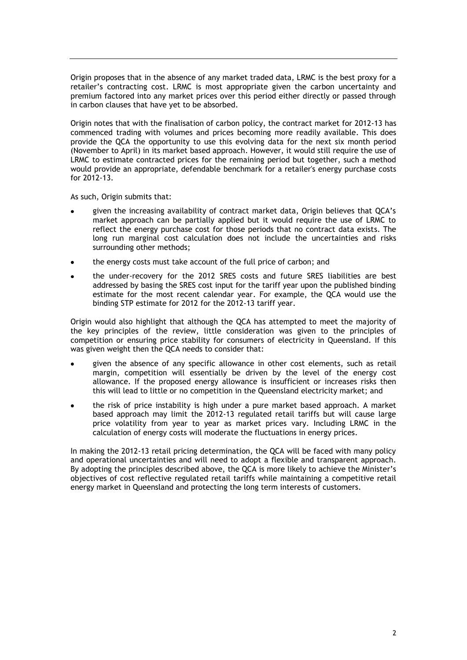Origin proposes that in the absence of any market traded data, LRMC is the best proxy for a retailer's contracting cost. LRMC is most appropriate given the carbon uncertainty and premium factored into any market prices over this period either directly or passed through in carbon clauses that have yet to be absorbed.

Origin notes that with the finalisation of carbon policy, the contract market for 2012-13 has commenced trading with volumes and prices becoming more readily available. This does provide the QCA the opportunity to use this evolving data for the next six month period (November to April) in its market based approach. However, it would still require the use of LRMC to estimate contracted prices for the remaining period but together, such a method would provide an appropriate, defendable benchmark for a retailer's energy purchase costs for 2012-13.

As such, Origin submits that:

- given the increasing availability of contract market data, Origin believes that QCA's market approach can be partially applied but it would require the use of LRMC to reflect the energy purchase cost for those periods that no contract data exists. The long run marginal cost calculation does not include the uncertainties and risks surrounding other methods;
- the energy costs must take account of the full price of carbon; and
- the under-recovery for the 2012 SRES costs and future SRES liabilities are best addressed by basing the SRES cost input for the tariff year upon the published binding estimate for the most recent calendar year. For example, the QCA would use the binding STP estimate for 2012 for the 2012-13 tariff year.

Origin would also highlight that although the QCA has attempted to meet the majority of the key principles of the review, little consideration was given to the principles of competition or ensuring price stability for consumers of electricity in Queensland. If this was given weight then the QCA needs to consider that:

- given the absence of any specific allowance in other cost elements, such as retail margin, competition will essentially be driven by the level of the energy cost allowance. If the proposed energy allowance is insufficient or increases risks then this will lead to little or no competition in the Queensland electricity market; and
- the risk of price instability is high under a pure market based approach. A market based approach may limit the 2012-13 regulated retail tariffs but will cause large price volatility from year to year as market prices vary. Including LRMC in the calculation of energy costs will moderate the fluctuations in energy prices.

In making the 2012-13 retail pricing determination, the QCA will be faced with many policy and operational uncertainties and will need to adopt a flexible and transparent approach. By adopting the principles described above, the QCA is more likely to achieve the Minister's objectives of cost reflective regulated retail tariffs while maintaining a competitive retail energy market in Queensland and protecting the long term interests of customers.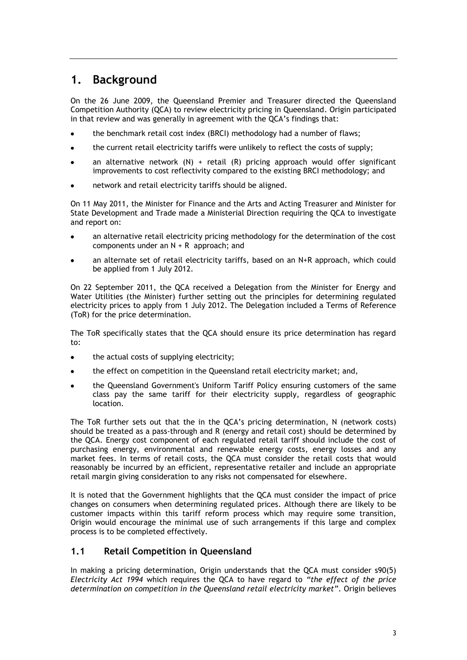## <span id="page-5-0"></span>**1. Background**

On the 26 June 2009, the Queensland Premier and Treasurer directed the Queensland Competition Authority (QCA) to review electricity pricing in Queensland. Origin participated in that review and was generally in agreement with the QCA's findings that:

- the benchmark retail cost index (BRCI) methodology had a number of flaws;
- the current retail electricity tariffs were unlikely to reflect the costs of supply;
- an alternative network  $(N)$  + retail  $(R)$  pricing approach would offer significant improvements to cost reflectivity compared to the existing BRCI methodology; and
- network and retail electricity tariffs should be aligned.

On 11 May 2011, the Minister for Finance and the Arts and Acting Treasurer and Minister for State Development and Trade made a Ministerial Direction requiring the QCA to investigate and report on:

- an alternative retail electricity pricing methodology for the determination of the cost components under an N + R approach; and
- an alternate set of retail electricity tariffs, based on an N+R approach, which could be applied from 1 July 2012.

On 22 September 2011, the QCA received a Delegation from the Minister for Energy and Water Utilities (the Minister) further setting out the principles for determining regulated electricity prices to apply from 1 July 2012. The Delegation included a Terms of Reference (ToR) for the price determination.

The ToR specifically states that the QCA should ensure its price determination has regard to:

- $\bullet$ the actual costs of supplying electricity;
- the effect on competition in the Queensland retail electricity market; and,
- the Queensland Government's Uniform Tariff Policy ensuring customers of the same class pay the same tariff for their electricity supply, regardless of geographic location.

The ToR further sets out that the in the QCA's pricing determination, N (network costs) should be treated as a pass-through and R (energy and retail cost) should be determined by the QCA. Energy cost component of each regulated retail tariff should include the cost of purchasing energy, environmental and renewable energy costs, energy losses and any market fees. In terms of retail costs, the QCA must consider the retail costs that would reasonably be incurred by an efficient, representative retailer and include an appropriate retail margin giving consideration to any risks not compensated for elsewhere.

It is noted that the Government highlights that the QCA must consider the impact of price changes on consumers when determining regulated prices. Although there are likely to be customer impacts within this tariff reform process which may require some transition, Origin would encourage the minimal use of such arrangements if this large and complex process is to be completed effectively.

#### <span id="page-5-1"></span>**1.1 Retail Competition in Queensland**

In making a pricing determination, Origin understands that the QCA must consider s90(5) *Electricity Act 1994* which requires the QCA to have regard to *"the effect of the price determination on competition in the Queensland retail electricity market".* Origin believes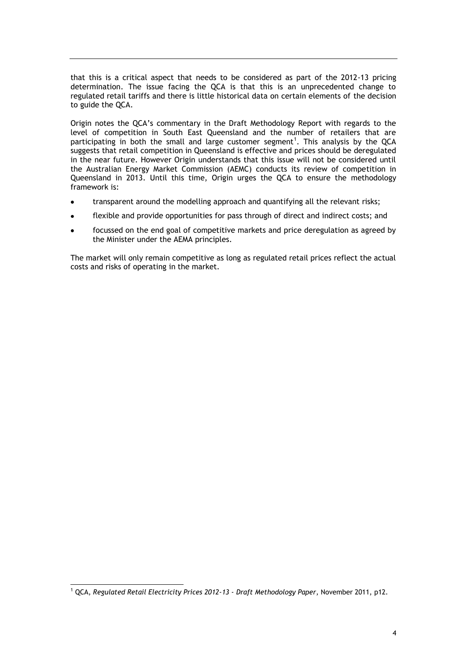that this is a critical aspect that needs to be considered as part of the 2012-13 pricing determination. The issue facing the QCA is that this is an unprecedented change to regulated retail tariffs and there is little historical data on certain elements of the decision to guide the QCA.

Origin notes the QCA's commentary in the Draft Methodology Report with regards to the level of competition in South East Queensland and the number of retailers that are participating in both the small and large customer segment<sup>1</sup>. This analysis by the QCA suggests that retail competition in Queensland is effective and prices should be deregulated in the near future. However Origin understands that this issue will not be considered until the Australian Energy Market Commission (AEMC) conducts its review of competition in Queensland in 2013. Until this time, Origin urges the QCA to ensure the methodology framework is:

- transparent around the modelling approach and quantifying all the relevant risks;
- flexible and provide opportunities for pass through of direct and indirect costs; and  $\bullet$
- focussed on the end goal of competitive markets and price deregulation as agreed by the Minister under the AEMA principles.

The market will only remain competitive as long as regulated retail prices reflect the actual costs and risks of operating in the market.

-

<sup>1</sup> QCA, *Regulated Retail Electricity Prices 2012-13 - Draft Methodology Paper*, November 2011, p12.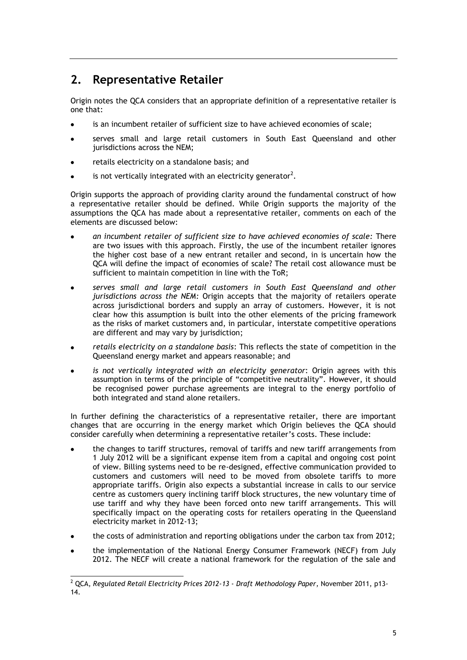## <span id="page-7-0"></span>**2. Representative Retailer**

Origin notes the QCA considers that an appropriate definition of a representative retailer is one that:

- is an incumbent retailer of sufficient size to have achieved economies of scale;
- serves small and large retail customers in South East Queensland and other jurisdictions across the NEM;
- retails electricity on a standalone basis; and
- is not vertically integrated with an electricity generator<sup>2</sup>.

Origin supports the approach of providing clarity around the fundamental construct of how a representative retailer should be defined. While Origin supports the majority of the assumptions the QCA has made about a representative retailer, comments on each of the elements are discussed below:

- *an incumbent retailer of sufficient size to have achieved economies of scale:* There are two issues with this approach. Firstly, the use of the incumbent retailer ignores the higher cost base of a new entrant retailer and second, in is uncertain how the QCA will define the impact of economies of scale? The retail cost allowance must be sufficient to maintain competition in line with the ToR;
- *serves small and large retail customers in South East Queensland and other*   $\bullet$ *jurisdictions across the NEM:* Origin accepts that the majority of retailers operate across jurisdictional borders and supply an array of customers. However, it is not clear how this assumption is built into the other elements of the pricing framework as the risks of market customers and, in particular, interstate competitive operations are different and may vary by jurisdiction;
- *retails electricity on a standalone basis*: This reflects the state of competition in the Queensland energy market and appears reasonable; and
- *is not vertically integrated with an electricity generator*: Origin agrees with this assumption in terms of the principle of "competitive neutrality". However, it should be recognised power purchase agreements are integral to the energy portfolio of both integrated and stand alone retailers.

In further defining the characteristics of a representative retailer, there are important changes that are occurring in the energy market which Origin believes the QCA should consider carefully when determining a representative retailer's costs. These include:

- the changes to tariff structures, removal of tariffs and new tariff arrangements from 1 July 2012 will be a significant expense item from a capital and ongoing cost point of view. Billing systems need to be re-designed, effective communication provided to customers and customers will need to be moved from obsolete tariffs to more appropriate tariffs. Origin also expects a substantial increase in calls to our service centre as customers query inclining tariff block structures, the new voluntary time of use tariff and why they have been forced onto new tariff arrangements. This will specifically impact on the operating costs for retailers operating in the Queensland electricity market in 2012-13;
- the costs of administration and reporting obligations under the carbon tax from 2012;
- the implementation of the National Energy Consumer Framework (NECF) from July 2012. The NECF will create a national framework for the regulation of the sale and

<sup>-</sup><sup>2</sup> QCA, *Regulated Retail Electricity Prices 2012-13 - Draft Methodology Paper*, November 2011, p13- 14.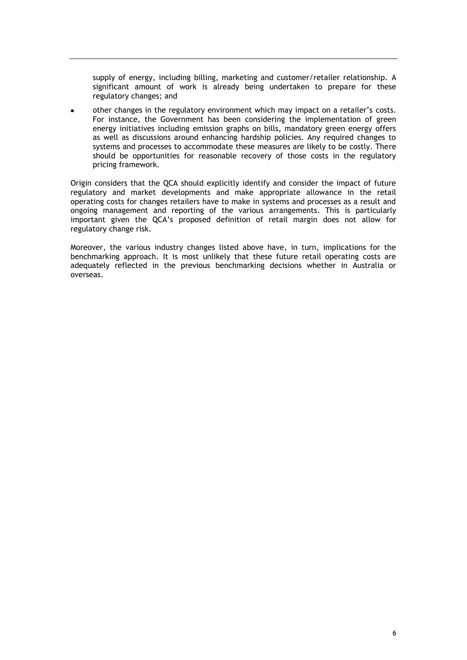supply of energy, including billing, marketing and customer/retailer relationship. A significant amount of work is already being undertaken to prepare for these regulatory changes; and

other changes in the regulatory environment which may impact on a retailer's costs.  $\bullet$ For instance, the Government has been considering the implementation of green energy initiatives including emission graphs on bills, mandatory green energy offers as well as discussions around enhancing hardship policies. Any required changes to systems and processes to accommodate these measures are likely to be costly. There should be opportunities for reasonable recovery of those costs in the regulatory pricing framework.

Origin considers that the QCA should explicitly identify and consider the impact of future regulatory and market developments and make appropriate allowance in the retail operating costs for changes retailers have to make in systems and processes as a result and ongoing management and reporting of the various arrangements. This is particularly important given the QCA's proposed definition of retail margin does not allow for regulatory change risk.

Moreover, the various industry changes listed above have, in turn, implications for the benchmarking approach. It is most unlikely that these future retail operating costs are adequately reflected in the previous benchmarking decisions whether in Australia or overseas.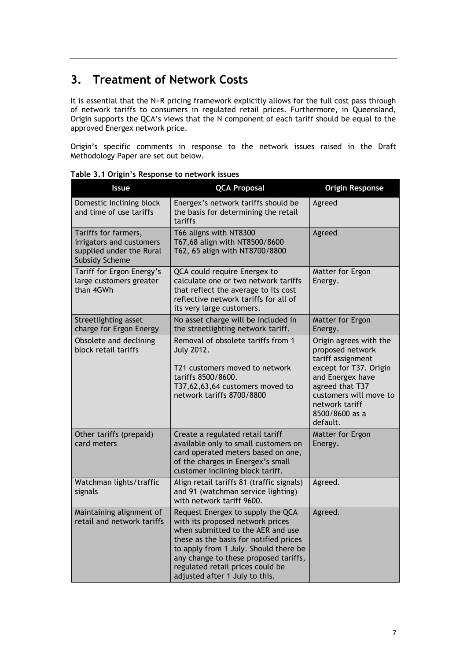## <span id="page-9-0"></span>**3. Treatment of Network Costs**

It is essential that the N+R pricing framework explicitly allows for the full cost pass through of network tariffs to consumers in regulated retail prices. Furthermore, in Queensland, Origin supports the QCA's views that the N component of each tariff should be equal to the approved Energex network price.

Origin's specific comments in response to the network issues raised in the Draft Methodology Paper are set out below.

|                                                     | <b>Issue</b>                                                                                          | <b>QCA Proposal</b>                                                                                                                                                                                                                                                                                          | <b>Origin Response</b>                                                                                                                                                                                     |
|-----------------------------------------------------|-------------------------------------------------------------------------------------------------------|--------------------------------------------------------------------------------------------------------------------------------------------------------------------------------------------------------------------------------------------------------------------------------------------------------------|------------------------------------------------------------------------------------------------------------------------------------------------------------------------------------------------------------|
| Domestic Inclining block<br>and time of use tariffs |                                                                                                       | Energex's network tariffs should be<br>the basis for determining the retail<br>tariffs                                                                                                                                                                                                                       | Agreed                                                                                                                                                                                                     |
|                                                     | Tariffs for farmers,<br>irrigators and customers<br>supplied under the Rural<br><b>Subsidy Scheme</b> | T66 aligns with NT8300<br>T67,68 align with NT8500/8600<br>T62, 65 align with NT8700/8800                                                                                                                                                                                                                    | Agreed                                                                                                                                                                                                     |
|                                                     | Tariff for Ergon Energy's<br>large customers greater<br>than 4GWh                                     | QCA could require Energex to<br>calculate one or two network tariffs<br>that reflect the average to its cost<br>reflective network tariffs for all of<br>its very large customers.                                                                                                                           | Matter for Ergon<br>Energy.                                                                                                                                                                                |
|                                                     | Streetlighting asset<br>charge for Ergon Energy                                                       | No asset charge will be included in<br>the streetlighting network tariff.                                                                                                                                                                                                                                    | Matter for Ergon<br>Energy.                                                                                                                                                                                |
|                                                     | Obsolete and declining<br>block retail tariffs                                                        | Removal of obsolete tariffs from 1<br><b>July 2012.</b><br>T21 customers moved to network<br>tariffs 8500/8600.<br>T37,62,63,64 customers moved to<br>network tariffs 8700/8800                                                                                                                              | Origin agrees with the<br>proposed network<br>tariff assignment<br>except for T37. Origin<br>and Energex have<br>agreed that T37<br>customers will move to<br>network tariff<br>8500/8600 as a<br>default. |
|                                                     | Other tariffs (prepaid)<br>card meters                                                                | Create a regulated retail tariff<br>available only to small customers on<br>card operated meters based on one,<br>of the charges in Energex's small<br>customer inclining block tariff.                                                                                                                      | Matter for Ergon<br>Energy.                                                                                                                                                                                |
|                                                     | Watchman lights/traffic<br>signals                                                                    | Align retail tariffs 81 (traffic signals)<br>and 91 (watchman service lighting)<br>with network tariff 9600.                                                                                                                                                                                                 | Agreed.                                                                                                                                                                                                    |
|                                                     | Maintaining alignment of<br>retail and network tariffs                                                | Request Energex to supply the QCA<br>with its proposed network prices<br>when submitted to the AER and use<br>these as the basis for notified prices<br>to apply from 1 July. Should there be<br>any change to these proposed tariffs,<br>regulated retail prices could be<br>adjusted after 1 July to this. | Agreed.                                                                                                                                                                                                    |

**Table 3.1 Origin's Response to network issues**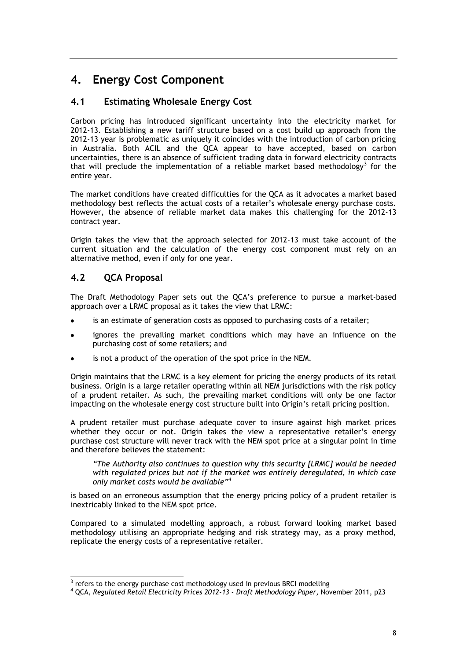## <span id="page-10-0"></span>**4. Energy Cost Component**

## <span id="page-10-1"></span>**4.1 Estimating Wholesale Energy Cost**

Carbon pricing has introduced significant uncertainty into the electricity market for 2012-13. Establishing a new tariff structure based on a cost build up approach from the 2012-13 year is problematic as uniquely it coincides with the introduction of carbon pricing in Australia. Both ACIL and the QCA appear to have accepted, based on carbon uncertainties, there is an absence of sufficient trading data in forward electricity contracts that will preclude the implementation of a reliable market based methodology<sup>3</sup> for the entire year.

The market conditions have created difficulties for the QCA as it advocates a market based methodology best reflects the actual costs of a retailer's wholesale energy purchase costs. However, the absence of reliable market data makes this challenging for the 2012-13 contract year.

Origin takes the view that the approach selected for 2012-13 must take account of the current situation and the calculation of the energy cost component must rely on an alternative method, even if only for one year.

### <span id="page-10-2"></span>**4.2 QCA Proposal**

-

The Draft Methodology Paper sets out the QCA's preference to pursue a market-based approach over a LRMC proposal as it takes the view that LRMC:

- is an estimate of generation costs as opposed to purchasing costs of a retailer;
- ignores the prevailing market conditions which may have an influence on the purchasing cost of some retailers; and
- is not a product of the operation of the spot price in the NEM.

Origin maintains that the LRMC is a key element for pricing the energy products of its retail business. Origin is a large retailer operating within all NEM jurisdictions with the risk policy of a prudent retailer. As such, the prevailing market conditions will only be one factor impacting on the wholesale energy cost structure built into Origin's retail pricing position.

A prudent retailer must purchase adequate cover to insure against high market prices whether they occur or not. Origin takes the view a representative retailer's energy purchase cost structure will never track with the NEM spot price at a singular point in time and therefore believes the statement:

*"The Authority also continues to question why this security [LRMC] would be needed with regulated prices but not if the market was entirely deregulated, in which case only market costs would be available"<sup>4</sup>*

is based on an erroneous assumption that the energy pricing policy of a prudent retailer is inextricably linked to the NEM spot price.

Compared to a simulated modelling approach, a robust forward looking market based methodology utilising an appropriate hedging and risk strategy may, as a proxy method, replicate the energy costs of a representative retailer.

 $3$  refers to the energy purchase cost methodology used in previous BRCI modelling

<sup>4</sup> QCA, *Regulated Retail Electricity Prices 2012-13 - Draft Methodology Paper*, November 2011, p23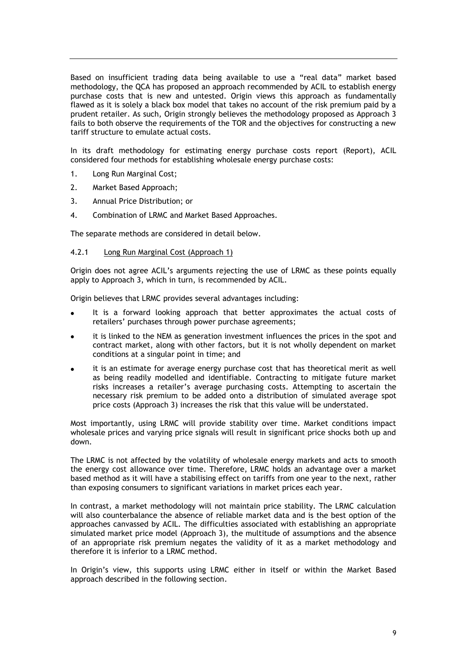Based on insufficient trading data being available to use a "real data" market based methodology, the QCA has proposed an approach recommended by ACIL to establish energy purchase costs that is new and untested. Origin views this approach as fundamentally flawed as it is solely a black box model that takes no account of the risk premium paid by a prudent retailer. As such, Origin strongly believes the methodology proposed as Approach 3 fails to both observe the requirements of the TOR and the objectives for constructing a new tariff structure to emulate actual costs.

In its draft methodology for estimating energy purchase costs report (Report), ACIL considered four methods for establishing wholesale energy purchase costs:

- 1. Long Run Marginal Cost;
- 2. Market Based Approach;
- 3. Annual Price Distribution; or
- 4. Combination of LRMC and Market Based Approaches.

The separate methods are considered in detail below.

#### <span id="page-11-0"></span>4.2.1 Long Run Marginal Cost (Approach 1)

Origin does not agree ACIL's arguments rejecting the use of LRMC as these points equally apply to Approach 3, which in turn, is recommended by ACIL.

Origin believes that LRMC provides several advantages including:

- It is a forward looking approach that better approximates the actual costs of retailers' purchases through power purchase agreements;
- it is linked to the NEM as generation investment influences the prices in the spot and contract market, along with other factors, but it is not wholly dependent on market conditions at a singular point in time; and
- it is an estimate for average energy purchase cost that has theoretical merit as well as being readily modelled and identifiable. Contracting to mitigate future market risks increases a retailer's average purchasing costs. Attempting to ascertain the necessary risk premium to be added onto a distribution of simulated average spot price costs (Approach 3) increases the risk that this value will be understated.

Most importantly, using LRMC will provide stability over time. Market conditions impact wholesale prices and varying price signals will result in significant price shocks both up and down.

The LRMC is not affected by the volatility of wholesale energy markets and acts to smooth the energy cost allowance over time. Therefore, LRMC holds an advantage over a market based method as it will have a stabilising effect on tariffs from one year to the next, rather than exposing consumers to significant variations in market prices each year.

In contrast, a market methodology will not maintain price stability. The LRMC calculation will also counterbalance the absence of reliable market data and is the best option of the approaches canvassed by ACIL. The difficulties associated with establishing an appropriate simulated market price model (Approach 3), the multitude of assumptions and the absence of an appropriate risk premium negates the validity of it as a market methodology and therefore it is inferior to a LRMC method.

In Origin's view, this supports using LRMC either in itself or within the Market Based approach described in the following section.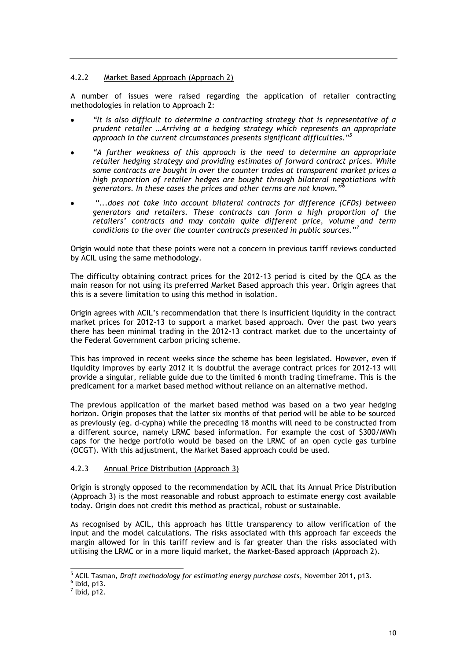#### <span id="page-12-0"></span>4.2.2 Market Based Approach (Approach 2)

A number of issues were raised regarding the application of retailer contracting methodologies in relation to Approach 2:

- *"It is also difficult to determine a contracting strategy that is representative of a prudent retailer …Arriving at a hedging strategy which represents an appropriate approach in the current circumstances presents significant difficulties."<sup>5</sup>*
- *"A further weakness of this approach is the need to determine an appropriate retailer hedging strategy and providing estimates of forward contract prices. While some contracts are bought in over the counter trades at transparent market prices a high proportion of retailer hedges are bought through bilateral negotiations with generators. In these cases the prices and other terms are not known."<sup>6</sup>*
- *"...does not take into account bilateral contracts for difference (CFDs) between generators and retailers. These contracts can form a high proportion of the retailers" contracts and may contain quite different price, volume and term conditions to the over the counter contracts presented in public sources."<sup>7</sup>*

Origin would note that these points were not a concern in previous tariff reviews conducted by ACIL using the same methodology.

The difficulty obtaining contract prices for the 2012-13 period is cited by the QCA as the main reason for not using its preferred Market Based approach this year. Origin agrees that this is a severe limitation to using this method in isolation.

Origin agrees with ACIL's recommendation that there is insufficient liquidity in the contract market prices for 2012-13 to support a market based approach. Over the past two years there has been minimal trading in the 2012-13 contract market due to the uncertainty of the Federal Government carbon pricing scheme.

This has improved in recent weeks since the scheme has been legislated. However, even if liquidity improves by early 2012 it is doubtful the average contract prices for 2012-13 will provide a singular, reliable guide due to the limited 6 month trading timeframe. This is the predicament for a market based method without reliance on an alternative method.

The previous application of the market based method was based on a two year hedging horizon. Origin proposes that the latter six months of that period will be able to be sourced as previously (eg. d-cypha) while the preceding 18 months will need to be constructed from a different source, namely LRMC based information. For example the cost of \$300/MWh caps for the hedge portfolio would be based on the LRMC of an open cycle gas turbine (OCGT). With this adjustment, the Market Based approach could be used.

#### <span id="page-12-1"></span>4.2.3 Annual Price Distribution (Approach 3)

Origin is strongly opposed to the recommendation by ACIL that its Annual Price Distribution (Approach 3) is the most reasonable and robust approach to estimate energy cost available today. Origin does not credit this method as practical, robust or sustainable.

As recognised by ACIL, this approach has little transparency to allow verification of the input and the model calculations. The risks associated with this approach far exceeds the margin allowed for in this tariff review and is far greater than the risks associated with utilising the LRMC or in a more liquid market, the Market-Based approach (Approach 2).

1

<sup>5</sup> ACIL Tasman, *Draft methodology for estimating energy purchase costs*, November 2011, p13.

 $<sup>6</sup>$  lbid, p13.</sup>

 $<sup>7</sup>$  lbid, p12.</sup>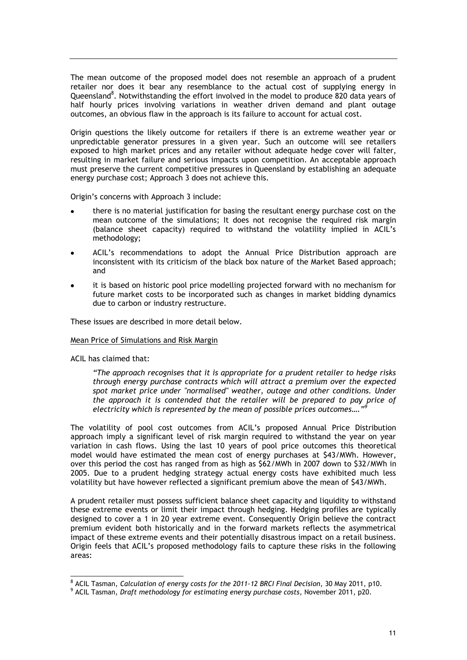The mean outcome of the proposed model does not resemble an approach of a prudent retailer nor does it bear any resemblance to the actual cost of supplying energy in Queensland<sup>8</sup>. Notwithstanding the effort involved in the model to produce 820 data years of half hourly prices involving variations in weather driven demand and plant outage outcomes, an obvious flaw in the approach is its failure to account for actual cost.

Origin questions the likely outcome for retailers if there is an extreme weather year or unpredictable generator pressures in a given year. Such an outcome will see retailers exposed to high market prices and any retailer without adequate hedge cover will falter, resulting in market failure and serious impacts upon competition. An acceptable approach must preserve the current competitive pressures in Queensland by establishing an adequate energy purchase cost; Approach 3 does not achieve this.

Origin's concerns with Approach 3 include:

- there is no material justification for basing the resultant energy purchase cost on the mean outcome of the simulations; It does not recognise the required risk margin (balance sheet capacity) required to withstand the volatility implied in ACIL's methodology;
- ACIL's recommendations to adopt the Annual Price Distribution approach are inconsistent with its criticism of the black box nature of the Market Based approach; and
- it is based on historic pool price modelling projected forward with no mechanism for future market costs to be incorporated such as changes in market bidding dynamics due to carbon or industry restructure.

These issues are described in more detail below.

#### Mean Price of Simulations and Risk Margin

ACIL has claimed that:

-

*"The approach recognises that it is appropriate for a prudent retailer to hedge risks through energy purchase contracts which will attract a premium over the expected spot market price under "normalised" weather, outage and other conditions. Under the approach it is contended that the retailer will be prepared to pay price of electricity which is represented by the mean of possible prices outcomes…."<sup>9</sup>*

The volatility of pool cost outcomes from ACIL's proposed Annual Price Distribution approach imply a significant level of risk margin required to withstand the year on year variation in cash flows. Using the last 10 years of pool price outcomes this theoretical model would have estimated the mean cost of energy purchases at \$43/MWh. However, over this period the cost has ranged from as high as \$62/MWh in 2007 down to \$32/MWh in 2005. Due to a prudent hedging strategy actual energy costs have exhibited much less volatility but have however reflected a significant premium above the mean of \$43/MWh.

A prudent retailer must possess sufficient balance sheet capacity and liquidity to withstand these extreme events or limit their impact through hedging. Hedging profiles are typically designed to cover a 1 in 20 year extreme event. Consequently Origin believe the contract premium evident both historically and in the forward markets reflects the asymmetrical impact of these extreme events and their potentially disastrous impact on a retail business. Origin feels that ACIL's proposed methodology fails to capture these risks in the following areas:

<sup>8</sup> ACIL Tasman, *Calculation of energy costs for the 2011-12 BRCI Final Decision*, 30 May 2011, p10.

<sup>9</sup> ACIL Tasman, *Draft methodology for estimating energy purchase costs*, November 2011, p20.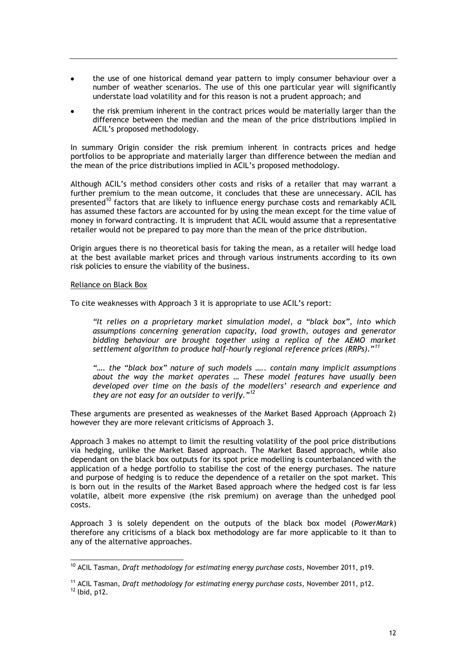- the use of one historical demand year pattern to imply consumer behaviour over a number of weather scenarios. The use of this one particular year will significantly understate load volatility and for this reason is not a prudent approach; and
- the risk premium inherent in the contract prices would be materially larger than the difference between the median and the mean of the price distributions implied in ACIL's proposed methodology.

In summary Origin consider the risk premium inherent in contracts prices and hedge portfolios to be appropriate and materially larger than difference between the median and the mean of the price distributions implied in ACIL's proposed methodology.

Although ACIL's method considers other costs and risks of a retailer that may warrant a further premium to the mean outcome, it concludes that these are unnecessary. ACIL has presented<sup>10</sup> factors that are likely to influence energy purchase costs and remarkably ACIL has assumed these factors are accounted for by using the mean except for the time value of money in forward contracting. It is imprudent that ACIL would assume that a representative retailer would not be prepared to pay more than the mean of the price distribution.

Origin argues there is no theoretical basis for taking the mean, as a retailer will hedge load at the best available market prices and through various instruments according to its own risk policies to ensure the viability of the business.

#### Reliance on Black Box

1

To cite weaknesses with Approach 3 it is appropriate to use ACIL's report:

*"It relies on a proprietary market simulation model, a "black box", into which assumptions concerning generation capacity, load growth, outages and generator bidding behaviour are brought together using a replica of the AEMO market settlement algorithm to produce half-hourly regional reference prices (RRPs)."<sup>11</sup>*

*"…. the "black box" nature of such models ….. contain many implicit assumptions about the way the market operates … These model features have usually been developed over time on the basis of the modellers" research and experience and they are not easy for an outsider to verify."<sup>12</sup>*

These arguments are presented as weaknesses of the Market Based Approach (Approach 2) however they are more relevant criticisms of Approach 3.

Approach 3 makes no attempt to limit the resulting volatility of the pool price distributions via hedging, unlike the Market Based approach. The Market Based approach, while also dependant on the black box outputs for its spot price modelling is counterbalanced with the application of a hedge portfolio to stabilise the cost of the energy purchases. The nature and purpose of hedging is to reduce the dependence of a retailer on the spot market. This is born out in the results of the Market Based approach where the hedged cost is far less volatile, albeit more expensive (the risk premium) on average than the unhedged pool costs.

Approach 3 is solely dependent on the outputs of the black box model (*PowerMark*) therefore any criticisms of a black box methodology are far more applicable to it than to any of the alternative approaches.

<sup>10</sup> ACIL Tasman, *Draft methodology for estimating energy purchase costs*, November 2011, p19.

<sup>11</sup> ACIL Tasman, *Draft methodology for estimating energy purchase costs*, November 2011, p12.  $12$  lbid, p12.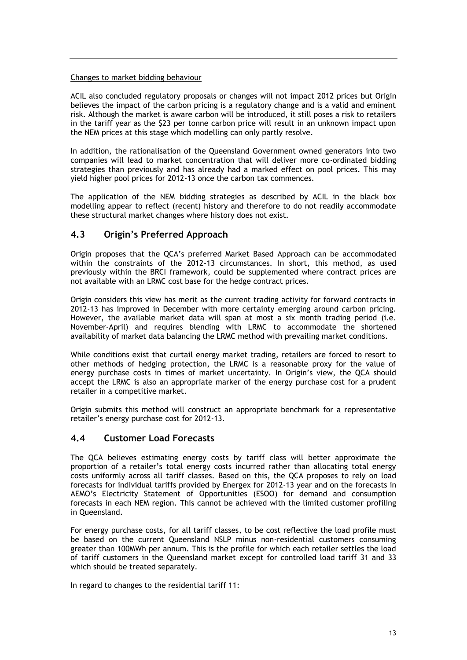#### Changes to market bidding behaviour

ACIL also concluded regulatory proposals or changes will not impact 2012 prices but Origin believes the impact of the carbon pricing is a regulatory change and is a valid and eminent risk. Although the market is aware carbon will be introduced, it still poses a risk to retailers in the tariff year as the \$23 per tonne carbon price will result in an unknown impact upon the NEM prices at this stage which modelling can only partly resolve.

In addition, the rationalisation of the Queensland Government owned generators into two companies will lead to market concentration that will deliver more co-ordinated bidding strategies than previously and has already had a marked effect on pool prices. This may yield higher pool prices for 2012-13 once the carbon tax commences.

The application of the NEM bidding strategies as described by ACIL in the black box modelling appear to reflect (recent) history and therefore to do not readily accommodate these structural market changes where history does not exist.

### <span id="page-15-0"></span>**4.3 Origin's Preferred Approach**

Origin proposes that the QCA's preferred Market Based Approach can be accommodated within the constraints of the 2012-13 circumstances. In short, this method, as used previously within the BRCI framework, could be supplemented where contract prices are not available with an LRMC cost base for the hedge contract prices.

Origin considers this view has merit as the current trading activity for forward contracts in 2012-13 has improved in December with more certainty emerging around carbon pricing. However, the available market data will span at most a six month trading period (i.e. November-April) and requires blending with LRMC to accommodate the shortened availability of market data balancing the LRMC method with prevailing market conditions.

While conditions exist that curtail energy market trading, retailers are forced to resort to other methods of hedging protection, the LRMC is a reasonable proxy for the value of energy purchase costs in times of market uncertainty. In Origin's view, the QCA should accept the LRMC is also an appropriate marker of the energy purchase cost for a prudent retailer in a competitive market.

Origin submits this method will construct an appropriate benchmark for a representative retailer's energy purchase cost for 2012-13.

#### <span id="page-15-1"></span>**4.4 Customer Load Forecasts**

The QCA believes estimating energy costs by tariff class will better approximate the proportion of a retailer's total energy costs incurred rather than allocating total energy costs uniformly across all tariff classes. Based on this, the QCA proposes to rely on load forecasts for individual tariffs provided by Energex for 2012-13 year and on the forecasts in AEMO's Electricity Statement of Opportunities (ESOO) for demand and consumption forecasts in each NEM region. This cannot be achieved with the limited customer profiling in Queensland.

For energy purchase costs, for all tariff classes, to be cost reflective the load profile must be based on the current Queensland NSLP minus non-residential customers consuming greater than 100MWh per annum. This is the profile for which each retailer settles the load of tariff customers in the Queensland market except for controlled load tariff 31 and 33 which should be treated separately.

In regard to changes to the residential tariff 11: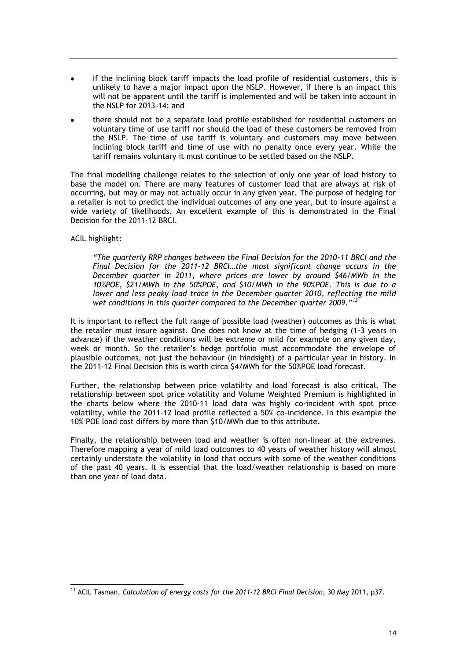- If the inclining block tariff impacts the load profile of residential customers, this is unlikely to have a major impact upon the NSLP. However, if there is an impact this will not be apparent until the tariff is implemented and will be taken into account in the NSLP for 2013-14; and
- there should not be a separate load profile established for residential customers on voluntary time of use tariff nor should the load of these customers be removed from the NSLP. The time of use tariff is voluntary and customers may move between inclining block tariff and time of use with no penalty once every year. While the tariff remains voluntary it must continue to be settled based on the NSLP.

The final modelling challenge relates to the selection of only one year of load history to base the model on. There are many features of customer load that are always at risk of occurring, but may or may not actually occur in any given year. The purpose of hedging for a retailer is not to predict the individual outcomes of any one year, but to insure against a wide variety of likelihoods. An excellent example of this is demonstrated in the Final Decision for the 2011-12 BRCI.

ACIL highlight:

*"The quarterly RRP changes between the Final Decision for the 2010-11 BRCI and the Final Decision for the 2011-12 BRCI…the most significant change occurs in the December quarter in 2011, where prices are lower by around \$46/MWh in the 10%POE, \$21/MWh in the 50%POE, and \$10/MWh in the 90%POE. This is due to a lower and less peaky load trace in the December quarter 2010, reflecting the mild wet conditions in this quarter compared to the December quarter 2009."<sup>13</sup>*

It is important to reflect the full range of possible load (weather) outcomes as this is what the retailer must insure against. One does not know at the time of hedging (1-3 years in advance) if the weather conditions will be extreme or mild for example on any given day, week or month. So the retailer's hedge portfolio must accommodate the envelope of plausible outcomes, not just the behaviour (in hindsight) of a particular year in history. In the 2011-12 Final Decision this is worth circa \$4/MWh for the 50%POE load forecast.

Further, the relationship between price volatility and load forecast is also critical. The relationship between spot price volatility and Volume Weighted Premium is highlighted in the charts below where the 2010-11 load data was highly co-incident with spot price volatility, while the 2011-12 load profile reflected a 50% co-incidence. In this example the 10% POE load cost differs by more than \$10/MWh due to this attribute.

Finally, the relationship between load and weather is often non-linear at the extremes. Therefore mapping a year of mild load outcomes to 40 years of weather history will almost certainly understate the volatility in load that occurs with some of the weather conditions of the past 40 years. It is essential that the load/weather relationship is based on more than one year of load data.

<sup>-</sup><sup>13</sup> ACIL Tasman, *Calculation of energy costs for the 2011-12 BRCI Final Decision*, 30 May 2011, p37.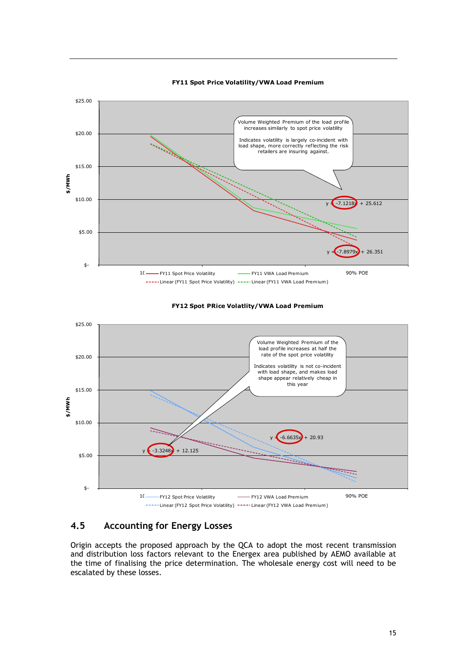

#### **FY11 Spot Price Volatility/VWA Load Premium**

#### **FY12 Spot PRice Volatlity/VWA Load Premium**



### <span id="page-17-0"></span>**4.5 Accounting for Energy Losses**

Origin accepts the proposed approach by the QCA to adopt the most recent transmission and distribution loss factors relevant to the Energex area published by AEMO available at the time of finalising the price determination. The wholesale energy cost will need to be escalated by these losses.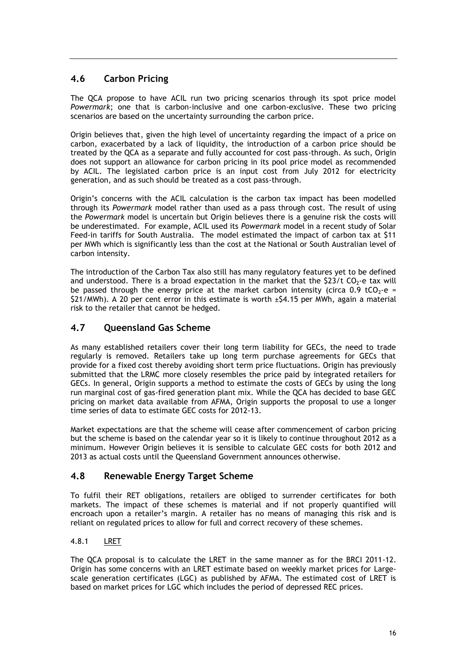## <span id="page-18-0"></span>**4.6 Carbon Pricing**

The QCA propose to have ACIL run two pricing scenarios through its spot price model *Powermark*; one that is carbon-inclusive and one carbon-exclusive. These two pricing scenarios are based on the uncertainty surrounding the carbon price.

Origin believes that, given the high level of uncertainty regarding the impact of a price on carbon, exacerbated by a lack of liquidity, the introduction of a carbon price should be treated by the QCA as a separate and fully accounted for cost pass-through. As such, Origin does not support an allowance for carbon pricing in its pool price model as recommended by ACIL. The legislated carbon price is an input cost from July 2012 for electricity generation, and as such should be treated as a cost pass-through.

Origin's concerns with the ACIL calculation is the carbon tax impact has been modelled through its *Powermark* model rather than used as a pass through cost. The result of using the *Powermark* model is uncertain but Origin believes there is a genuine risk the costs will be underestimated. For example, ACIL used its *Powermark* model in a recent study of Solar Feed-in tariffs for South Australia. The model estimated the impact of carbon tax at \$11 per MWh which is significantly less than the cost at the National or South Australian level of carbon intensity.

The introduction of the Carbon Tax also still has many regulatory features yet to be defined and understood. There is a broad expectation in the market that the  $$23/t$  CO<sub>2</sub>-e tax will be passed through the energy price at the market carbon intensity (circa 0.9 tCO<sub>2</sub>-e = \$21/MWh). A 20 per cent error in this estimate is worth  $\pm$ \$4.15 per MWh, again a material risk to the retailer that cannot be hedged.

### <span id="page-18-1"></span>**4.7 Queensland Gas Scheme**

As many established retailers cover their long term liability for GECs, the need to trade regularly is removed. Retailers take up long term purchase agreements for GECs that provide for a fixed cost thereby avoiding short term price fluctuations. Origin has previously submitted that the LRMC more closely resembles the price paid by integrated retailers for GECs. In general, Origin supports a method to estimate the costs of GECs by using the long run marginal cost of gas-fired generation plant mix. While the QCA has decided to base GEC pricing on market data available from AFMA, Origin supports the proposal to use a longer time series of data to estimate GEC costs for 2012-13.

Market expectations are that the scheme will cease after commencement of carbon pricing but the scheme is based on the calendar year so it is likely to continue throughout 2012 as a minimum. However Origin believes it is sensible to calculate GEC costs for both 2012 and 2013 as actual costs until the Queensland Government announces otherwise.

### <span id="page-18-2"></span>**4.8 Renewable Energy Target Scheme**

To fulfil their RET obligations, retailers are obliged to surrender certificates for both markets. The impact of these schemes is material and if not properly quantified will encroach upon a retailer's margin. A retailer has no means of managing this risk and is reliant on regulated prices to allow for full and correct recovery of these schemes.

#### <span id="page-18-3"></span>4.8.1 LRET

The QCA proposal is to calculate the LRET in the same manner as for the BRCI 2011-12. Origin has some concerns with an LRET estimate based on weekly market prices for Largescale generation certificates (LGC) as published by AFMA. The estimated cost of LRET is based on market prices for LGC which includes the period of depressed REC prices.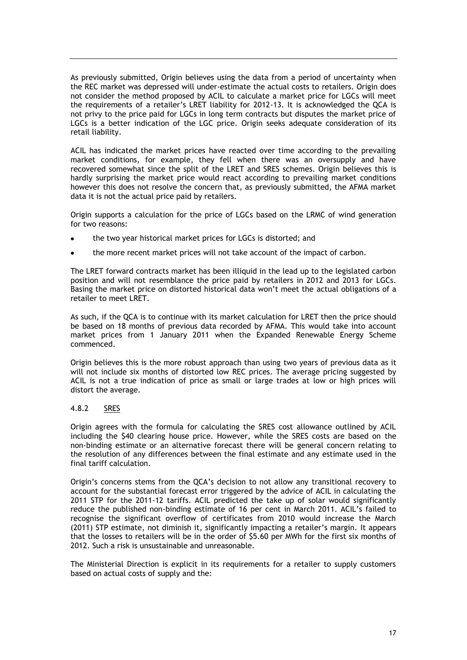As previously submitted, Origin believes using the data from a period of uncertainty when the REC market was depressed will under-estimate the actual costs to retailers. Origin does not consider the method proposed by ACIL to calculate a market price for LGCs will meet the requirements of a retailer's LRET liability for 2012-13. It is acknowledged the QCA is not privy to the price paid for LGCs in long term contracts but disputes the market price of LGCs is a better indication of the LGC price. Origin seeks adequate consideration of its retail liability.

ACIL has indicated the market prices have reacted over time according to the prevailing market conditions, for example, they fell when there was an oversupply and have recovered somewhat since the split of the LRET and SRES schemes. Origin believes this is hardly surprising the market price would react according to prevailing market conditions however this does not resolve the concern that, as previously submitted, the AFMA market data it is not the actual price paid by retailers.

Origin supports a calculation for the price of LGCs based on the LRMC of wind generation for two reasons:

- the two year historical market prices for LGCs is distorted; and
- the more recent market prices will not take account of the impact of carbon.

The LRET forward contracts market has been illiquid in the lead up to the legislated carbon position and will not resemblance the price paid by retailers in 2012 and 2013 for LGCs. Basing the market price on distorted historical data won't meet the actual obligations of a retailer to meet LRET.

As such, if the QCA is to continue with its market calculation for LRET then the price should be based on 18 months of previous data recorded by AFMA. This would take into account market prices from 1 January 2011 when the Expanded Renewable Energy Scheme commenced.

Origin believes this is the more robust approach than using two years of previous data as it will not include six months of distorted low REC prices. The average pricing suggested by ACIL is not a true indication of price as small or large trades at low or high prices will distort the average.

#### <span id="page-19-0"></span>4.8.2 SRES

Origin agrees with the formula for calculating the SRES cost allowance outlined by ACIL including the \$40 clearing house price. However, while the SRES costs are based on the non-binding estimate or an alternative forecast there will be general concern relating to the resolution of any differences between the final estimate and any estimate used in the final tariff calculation.

Origin's concerns stems from the QCA's decision to not allow any transitional recovery to account for the substantial forecast error triggered by the advice of ACIL in calculating the 2011 STP for the 2011-12 tariffs. ACIL predicted the take up of solar would significantly reduce the published non-binding estimate of 16 per cent in March 2011. ACIL's failed to recognise the significant overflow of certificates from 2010 would increase the March (2011) STP estimate, not diminish it, significantly impacting a retailer's margin. It appears that the losses to retailers will be in the order of \$5.60 per MWh for the first six months of 2012. Such a risk is unsustainable and unreasonable.

The Ministerial Direction is explicit in its requirements for a retailer to supply customers based on actual costs of supply and the: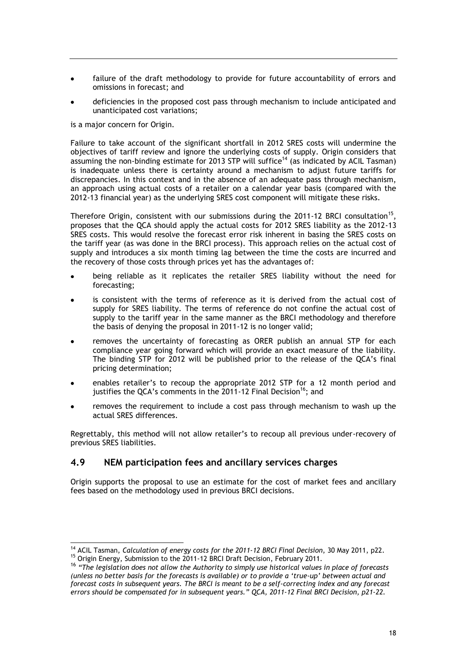- failure of the draft methodology to provide for future accountability of errors and omissions in forecast; and
- deficiencies in the proposed cost pass through mechanism to include anticipated and unanticipated cost variations;

is a major concern for Origin.

 $\overline{a}$ 

Failure to take account of the significant shortfall in 2012 SRES costs will undermine the objectives of tariff review and ignore the underlying costs of supply. Origin considers that assuming the non-binding estimate for 2013 STP will suffice<sup>14</sup> (as indicated by ACIL Tasman) is inadequate unless there is certainty around a mechanism to adjust future tariffs for discrepancies. In this context and in the absence of an adequate pass through mechanism, an approach using actual costs of a retailer on a calendar year basis (compared with the 2012-13 financial year) as the underlying SRES cost component will mitigate these risks.

Therefore Origin, consistent with our submissions during the 2011-12 BRCI consultation<sup>15</sup>, proposes that the QCA should apply the actual costs for 2012 SRES liability as the 2012-13 SRES costs. This would resolve the forecast error risk inherent in basing the SRES costs on the tariff year (as was done in the BRCI process). This approach relies on the actual cost of supply and introduces a six month timing lag between the time the costs are incurred and the recovery of those costs through prices yet has the advantages of:

- being reliable as it replicates the retailer SRES liability without the need for forecasting;
- is consistent with the terms of reference as it is derived from the actual cost of supply for SRES liability. The terms of reference do not confine the actual cost of supply to the tariff year in the same manner as the BRCI methodology and therefore the basis of denying the proposal in 2011-12 is no longer valid;
- removes the uncertainty of forecasting as ORER publish an annual STP for each compliance year going forward which will provide an exact measure of the liability. The binding STP for 2012 will be published prior to the release of the QCA's final pricing determination;
- enables retailer's to recoup the appropriate 2012 STP for a 12 month period and justifies the OCA's comments in the  $2011-12$  Final Decision<sup>16</sup>; and
- removes the requirement to include a cost pass through mechanism to wash up the actual SRES differences.

Regrettably, this method will not allow retailer's to recoup all previous under-recovery of previous SRES liabilities.

#### <span id="page-20-0"></span>**4.9 NEM participation fees and ancillary services charges**

Origin supports the proposal to use an estimate for the cost of market fees and ancillary fees based on the methodology used in previous BRCI decisions.

<sup>14</sup> ACIL Tasman, *Calculation of energy costs for the 2011-12 BRCI Final Decision*, 30 May 2011, p22. <sup>15</sup> Origin Energy, Submission to the 2011-12 BRCI Draft Decision, February 2011.

<sup>16</sup> *"The legislation does not allow the Authority to simply use historical values in place of forecasts (unless no better basis for the forecasts is available) or to provide a "true-up" between actual and forecast costs in subsequent years. The BRCI is meant to be a self-correcting index and any forecast errors should be compensated for in subsequent years." QCA, 2011-12 Final BRCI Decision, p21-22.*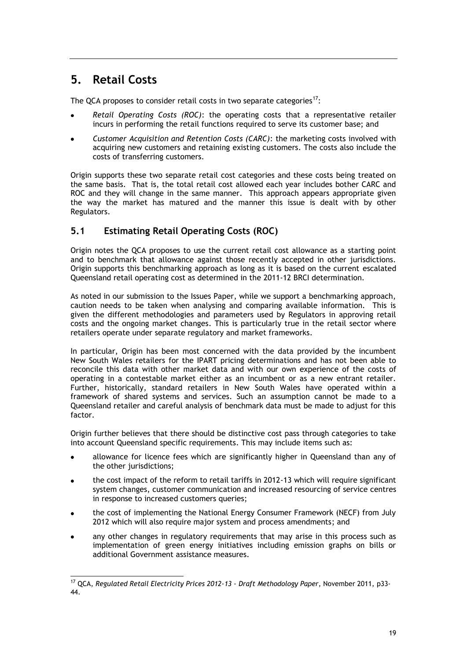## <span id="page-21-0"></span>**5. Retail Costs**

The QCA proposes to consider retail costs in two separate categories<sup>17</sup>:

- *Retail Operating Costs (ROC)*: the operating costs that a representative retailer incurs in performing the retail functions required to serve its customer base; and
- *Customer Acquisition and Retention Costs (CARC)*: the marketing costs involved with acquiring new customers and retaining existing customers. The costs also include the costs of transferring customers.

Origin supports these two separate retail cost categories and these costs being treated on the same basis. That is, the total retail cost allowed each year includes bother CARC and ROC and they will change in the same manner. This approach appears appropriate given the way the market has matured and the manner this issue is dealt with by other Regulators.

## <span id="page-21-1"></span>**5.1 Estimating Retail Operating Costs (ROC)**

Origin notes the QCA proposes to use the current retail cost allowance as a starting point and to benchmark that allowance against those recently accepted in other jurisdictions. Origin supports this benchmarking approach as long as it is based on the current escalated Queensland retail operating cost as determined in the 2011-12 BRCI determination.

As noted in our submission to the Issues Paper, while we support a benchmarking approach, caution needs to be taken when analysing and comparing available information. This is given the different methodologies and parameters used by Regulators in approving retail costs and the ongoing market changes. This is particularly true in the retail sector where retailers operate under separate regulatory and market frameworks.

In particular, Origin has been most concerned with the data provided by the incumbent New South Wales retailers for the IPART pricing determinations and has not been able to reconcile this data with other market data and with our own experience of the costs of operating in a contestable market either as an incumbent or as a new entrant retailer. Further, historically, standard retailers in New South Wales have operated within a framework of shared systems and services. Such an assumption cannot be made to a Queensland retailer and careful analysis of benchmark data must be made to adjust for this factor.

Origin further believes that there should be distinctive cost pass through categories to take into account Queensland specific requirements. This may include items such as:

- allowance for licence fees which are significantly higher in Queensland than any of the other jurisdictions;
- the cost impact of the reform to retail tariffs in 2012-13 which will require significant system changes, customer communication and increased resourcing of service centres in response to increased customers queries;
- the cost of implementing the National Energy Consumer Framework (NECF) from July 2012 which will also require major system and process amendments; and
- any other changes in regulatory requirements that may arise in this process such as implementation of green energy initiatives including emission graphs on bills or additional Government assistance measures.

<sup>-</sup><sup>17</sup> QCA, *Regulated Retail Electricity Prices 2012-13 - Draft Methodology Paper*, November 2011, p33- 44.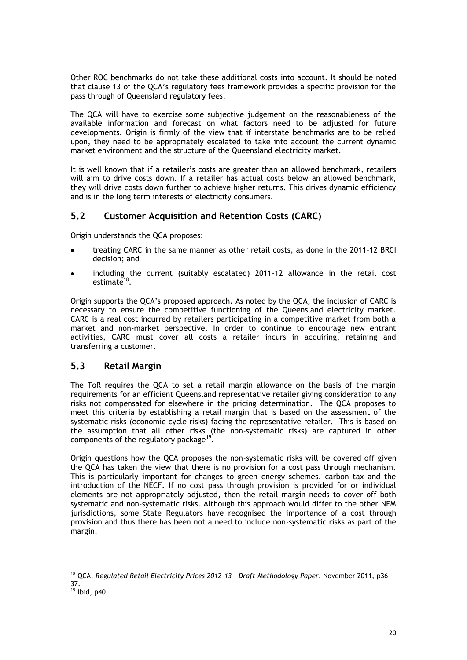Other ROC benchmarks do not take these additional costs into account. It should be noted that clause 13 of the QCA's regulatory fees framework provides a specific provision for the pass through of Queensland regulatory fees.

The QCA will have to exercise some subjective judgement on the reasonableness of the available information and forecast on what factors need to be adjusted for future developments. Origin is firmly of the view that if interstate benchmarks are to be relied upon, they need to be appropriately escalated to take into account the current dynamic market environment and the structure of the Queensland electricity market.

It is well known that if a retailer's costs are greater than an allowed benchmark, retailers will aim to drive costs down. If a retailer has actual costs below an allowed benchmark, they will drive costs down further to achieve higher returns. This drives dynamic efficiency and is in the long term interests of electricity consumers.

## <span id="page-22-0"></span>**5.2 Customer Acquisition and Retention Costs (CARC)**

Origin understands the QCA proposes:

- treating CARC in the same manner as other retail costs, as done in the 2011-12 BRCI decision; and
- including the current (suitably escalated) 2011-12 allowance in the retail cost estimate<sup>18</sup>.

Origin supports the QCA's proposed approach. As noted by the QCA, the inclusion of CARC is necessary to ensure the competitive functioning of the Queensland electricity market. CARC is a real cost incurred by retailers participating in a competitive market from both a market and non-market perspective. In order to continue to encourage new entrant activities, CARC must cover all costs a retailer incurs in acquiring, retaining and transferring a customer.

### <span id="page-22-1"></span>**5.3 Retail Margin**

The ToR requires the QCA to set a retail margin allowance on the basis of the margin requirements for an efficient Queensland representative retailer giving consideration to any risks not compensated for elsewhere in the pricing determination. The QCA proposes to meet this criteria by establishing a retail margin that is based on the assessment of the systematic risks (economic cycle risks) facing the representative retailer. This is based on the assumption that all other risks (the non-systematic risks) are captured in other components of the regulatory package<sup>19</sup>.

Origin questions how the QCA proposes the non-systematic risks will be covered off given the QCA has taken the view that there is no provision for a cost pass through mechanism. This is particularly important for changes to green energy schemes, carbon tax and the introduction of the NECF. If no cost pass through provision is provided for or individual elements are not appropriately adjusted, then the retail margin needs to cover off both systematic and non-systematic risks. Although this approach would differ to the other NEM jurisdictions, some State Regulators have recognised the importance of a cost through provision and thus there has been not a need to include non-systematic risks as part of the margin.

1

<sup>18</sup> QCA, *Regulated Retail Electricity Prices 2012-13 - Draft Methodology Paper*, November 2011, p36- 37.

 $19$  lbid, p40.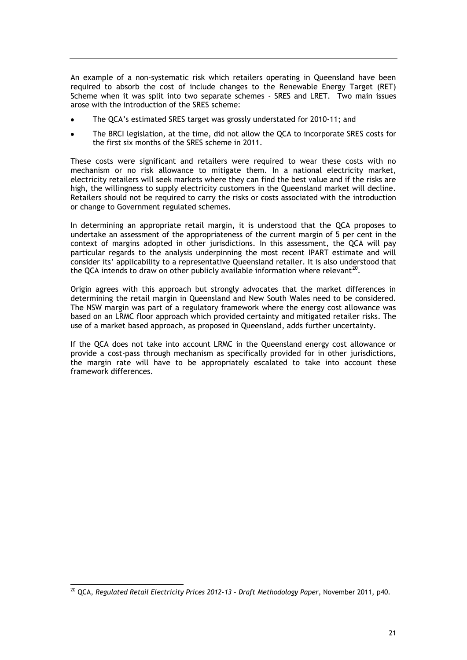An example of a non-systematic risk which retailers operating in Queensland have been required to absorb the cost of include changes to the Renewable Energy Target (RET) Scheme when it was split into two separate schemes - SRES and LRET. Two main issues arose with the introduction of the SRES scheme:

- The QCA's estimated SRES target was grossly understated for 2010-11; and
- The BRCI legislation, at the time, did not allow the QCA to incorporate SRES costs for the first six months of the SRES scheme in 2011.

These costs were significant and retailers were required to wear these costs with no mechanism or no risk allowance to mitigate them. In a national electricity market, electricity retailers will seek markets where they can find the best value and if the risks are high, the willingness to supply electricity customers in the Queensland market will decline. Retailers should not be required to carry the risks or costs associated with the introduction or change to Government regulated schemes.

In determining an appropriate retail margin, it is understood that the QCA proposes to undertake an assessment of the appropriateness of the current margin of 5 per cent in the context of margins adopted in other jurisdictions. In this assessment, the QCA will pay particular regards to the analysis underpinning the most recent IPART estimate and will consider its' applicability to a representative Queensland retailer. It is also understood that the QCA intends to draw on other publicly available information where relevant<sup>20</sup>.

Origin agrees with this approach but strongly advocates that the market differences in determining the retail margin in Queensland and New South Wales need to be considered. The NSW margin was part of a regulatory framework where the energy cost allowance was based on an LRMC floor approach which provided certainty and mitigated retailer risks. The use of a market based approach, as proposed in Queensland, adds further uncertainty.

If the QCA does not take into account LRMC in the Queensland energy cost allowance or provide a cost-pass through mechanism as specifically provided for in other jurisdictions, the margin rate will have to be appropriately escalated to take into account these framework differences.

<sup>-</sup><sup>20</sup> QCA, *Regulated Retail Electricity Prices 2012-13 - Draft Methodology Paper*, November 2011, p40.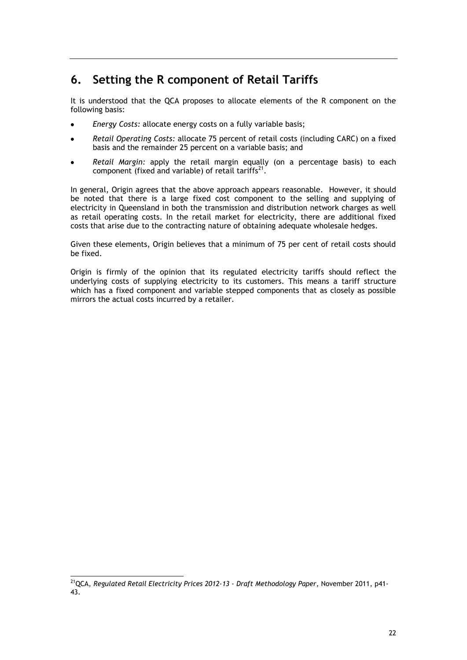## <span id="page-24-0"></span>**6. Setting the R component of Retail Tariffs**

It is understood that the QCA proposes to allocate elements of the R component on the following basis:

- *Energy Costs:* allocate energy costs on a fully variable basis;
- *Retail Operating Costs:* allocate 75 percent of retail costs (including CARC) on a fixed  $\bullet$ basis and the remainder 25 percent on a variable basis; and
- *Retail Margin:* apply the retail margin equally (on a percentage basis) to each component (fixed and variable) of retail tariffs<sup>21</sup>.

In general, Origin agrees that the above approach appears reasonable. However, it should be noted that there is a large fixed cost component to the selling and supplying of electricity in Queensland in both the transmission and distribution network charges as well as retail operating costs. In the retail market for electricity, there are additional fixed costs that arise due to the contracting nature of obtaining adequate wholesale hedges.

Given these elements, Origin believes that a minimum of 75 per cent of retail costs should be fixed.

Origin is firmly of the opinion that its regulated electricity tariffs should reflect the underlying costs of supplying electricity to its customers. This means a tariff structure which has a fixed component and variable stepped components that as closely as possible mirrors the actual costs incurred by a retailer.

<sup>-</sup><sup>21</sup>QCA, *Regulated Retail Electricity Prices 2012-13 - Draft Methodology Paper*, November 2011, p41- 43.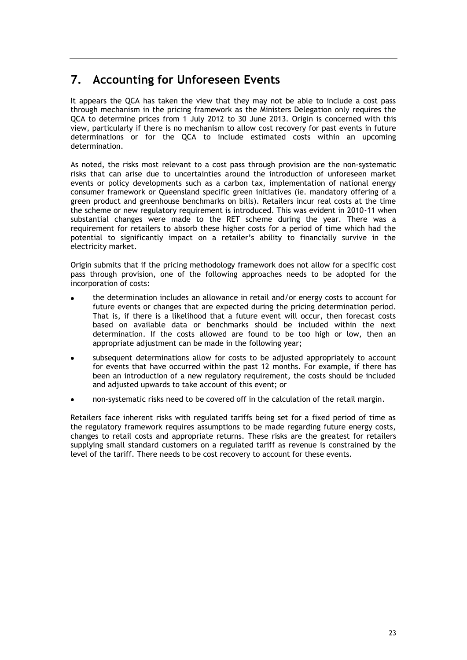## <span id="page-25-0"></span>**7. Accounting for Unforeseen Events**

It appears the QCA has taken the view that they may not be able to include a cost pass through mechanism in the pricing framework as the Ministers Delegation only requires the QCA to determine prices from 1 July 2012 to 30 June 2013. Origin is concerned with this view, particularly if there is no mechanism to allow cost recovery for past events in future determinations or for the QCA to include estimated costs within an upcoming determination.

As noted, the risks most relevant to a cost pass through provision are the non-systematic risks that can arise due to uncertainties around the introduction of unforeseen market events or policy developments such as a carbon tax, implementation of national energy consumer framework or Queensland specific green initiatives (ie. mandatory offering of a green product and greenhouse benchmarks on bills). Retailers incur real costs at the time the scheme or new regulatory requirement is introduced. This was evident in 2010-11 when substantial changes were made to the RET scheme during the year. There was a requirement for retailers to absorb these higher costs for a period of time which had the potential to significantly impact on a retailer's ability to financially survive in the electricity market.

Origin submits that if the pricing methodology framework does not allow for a specific cost pass through provision, one of the following approaches needs to be adopted for the incorporation of costs:

- the determination includes an allowance in retail and/or energy costs to account for future events or changes that are expected during the pricing determination period. That is, if there is a likelihood that a future event will occur, then forecast costs based on available data or benchmarks should be included within the next determination. If the costs allowed are found to be too high or low, then an appropriate adjustment can be made in the following year;
- subsequent determinations allow for costs to be adjusted appropriately to account for events that have occurred within the past 12 months. For example, if there has been an introduction of a new regulatory requirement, the costs should be included and adjusted upwards to take account of this event; or
- non-systematic risks need to be covered off in the calculation of the retail margin.

Retailers face inherent risks with regulated tariffs being set for a fixed period of time as the regulatory framework requires assumptions to be made regarding future energy costs, changes to retail costs and appropriate returns. These risks are the greatest for retailers supplying small standard customers on a regulated tariff as revenue is constrained by the level of the tariff. There needs to be cost recovery to account for these events.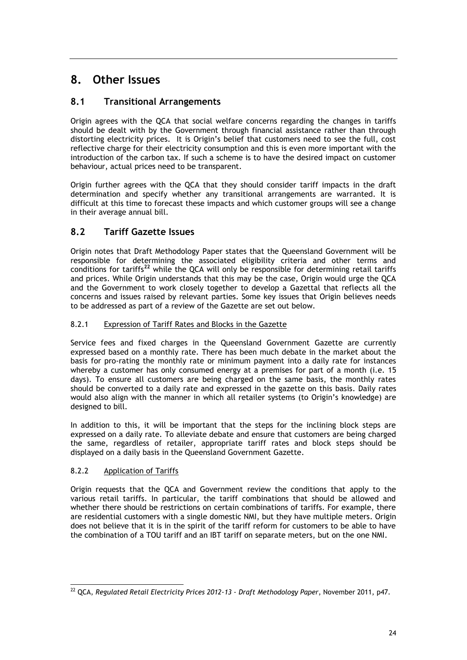## <span id="page-26-0"></span>**8. Other Issues**

## <span id="page-26-1"></span>**8.1 Transitional Arrangements**

Origin agrees with the QCA that social welfare concerns regarding the changes in tariffs should be dealt with by the Government through financial assistance rather than through distorting electricity prices. It is Origin's belief that customers need to see the full, cost reflective charge for their electricity consumption and this is even more important with the introduction of the carbon tax. If such a scheme is to have the desired impact on customer behaviour, actual prices need to be transparent.

Origin further agrees with the QCA that they should consider tariff impacts in the draft determination and specify whether any transitional arrangements are warranted. It is difficult at this time to forecast these impacts and which customer groups will see a change in their average annual bill.

## <span id="page-26-2"></span>**8.2 Tariff Gazette Issues**

Origin notes that Draft Methodology Paper states that the Queensland Government will be responsible for determining the associated eligibility criteria and other terms and conditions for tariffs**<sup>22</sup>** while the QCA will only be responsible for determining retail tariffs and prices. While Origin understands that this may be the case, Origin would urge the QCA and the Government to work closely together to develop a Gazettal that reflects all the concerns and issues raised by relevant parties. Some key issues that Origin believes needs to be addressed as part of a review of the Gazette are set out below.

#### <span id="page-26-3"></span>8.2.1 Expression of Tariff Rates and Blocks in the Gazette

Service fees and fixed charges in the Queensland Government Gazette are currently expressed based on a monthly rate. There has been much debate in the market about the basis for pro-rating the monthly rate or minimum payment into a daily rate for instances whereby a customer has only consumed energy at a premises for part of a month (i.e. 15 days). To ensure all customers are being charged on the same basis, the monthly rates should be converted to a daily rate and expressed in the gazette on this basis. Daily rates would also align with the manner in which all retailer systems (to Origin's knowledge) are designed to bill.

In addition to this, it will be important that the steps for the inclining block steps are expressed on a daily rate. To alleviate debate and ensure that customers are being charged the same, regardless of retailer, appropriate tariff rates and block steps should be displayed on a daily basis in the Queensland Government Gazette.

#### <span id="page-26-4"></span>8.2.2 Application of Tariffs

Origin requests that the QCA and Government review the conditions that apply to the various retail tariffs. In particular, the tariff combinations that should be allowed and whether there should be restrictions on certain combinations of tariffs. For example, there are residential customers with a single domestic NMI, but they have multiple meters. Origin does not believe that it is in the spirit of the tariff reform for customers to be able to have the combination of a TOU tariff and an IBT tariff on separate meters, but on the one NMI.

<sup>-</sup><sup>22</sup> QCA, *Regulated Retail Electricity Prices 2012-13 - Draft Methodology Paper*, November 2011, p47.